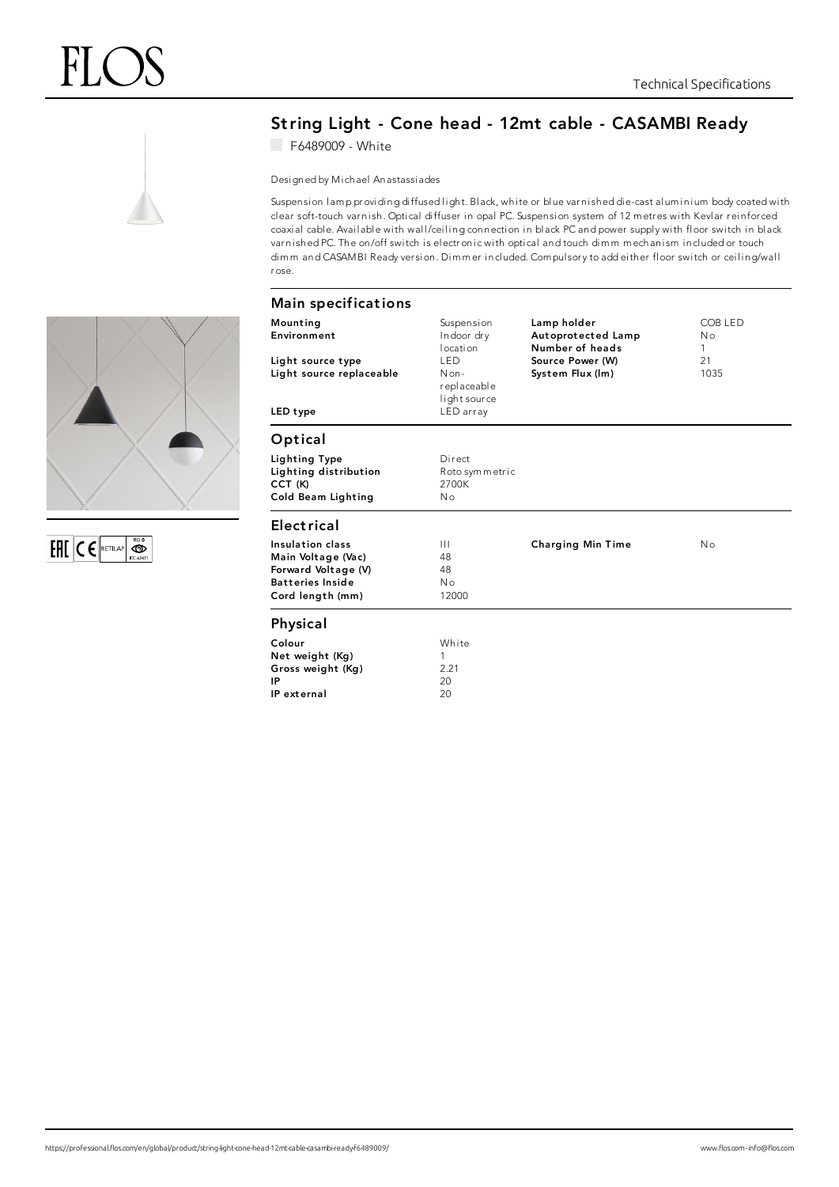

## String Light - Cone head - 12mt cable - CASAMBI Ready

F6489009 - White

Designed by Michael Anastassiades

Suspension lamp providing diffused light. Black, white or blue varnished die-cast aluminium body coated with clear soft-touch varni sh. Optical diffuser in opal PC. Suspension system of 12 m etres with Kevlar reinfor ced coaxial cable. Available with wall/ceiling connection in black PC and power supply with floor switch in black varnished PC. The on/off switch is electronic with optical and touch dimm mechanism included or touch dimm and CASAMBI Ready version. Dimmer included. Compulsory to add either floor switch or ceiling/wall rose.

| <b>Main specifications</b>                                                                                   |                                                                                                          |                                                                                              |                                              |
|--------------------------------------------------------------------------------------------------------------|----------------------------------------------------------------------------------------------------------|----------------------------------------------------------------------------------------------|----------------------------------------------|
| Mounting<br>Environment<br>Light source type<br>Light source replaceable<br>LED type                         | Suspension<br>Indoor dry<br>location<br><b>LED</b><br>$Non-$<br>replaceable<br>light source<br>LED array | Lamp holder<br>Autoprotected Lamp<br>Number of heads<br>Source Power (W)<br>System Flux (Im) | COB LED<br>N <sub>o</sub><br>1<br>21<br>1035 |
| Optical                                                                                                      |                                                                                                          |                                                                                              |                                              |
| Lighting Type<br>Lighting distribution<br>CCT (K)<br>Cold Beam Lighting                                      | Direct<br>Roto symmetric<br>2700K<br>No                                                                  |                                                                                              |                                              |
| <b>Electrical</b>                                                                                            |                                                                                                          |                                                                                              |                                              |
| Insulation class<br>Main Voltage (Vac)<br>Forward Voltage (V)<br><b>Batteries Inside</b><br>Cord length (mm) | $\mathbf{H}$<br>48<br>48<br>No<br>12000                                                                  | <b>Charging Min Time</b>                                                                     | No                                           |
| Physical                                                                                                     |                                                                                                          |                                                                                              |                                              |
| Colour<br>Net weight (Kg)<br>Gross weight (Kg)<br>IP<br>IP external                                          | White<br>1<br>2.21<br>20<br>20                                                                           |                                                                                              |                                              |



EFIL CERETILAP **OD**